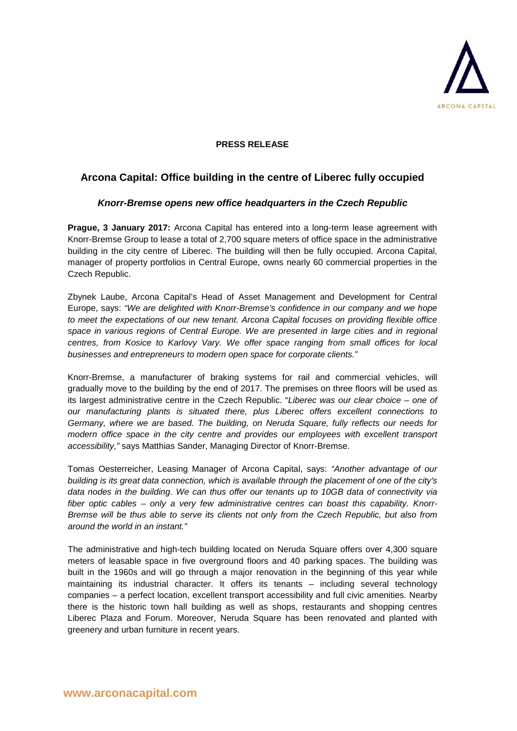

## **PRESS RELEASE**

# **Arcona Capital: Office building in the centre of Liberec fully occupied**

# *Knorr-Bremse opens new office headquarters in the Czech Republic*

**Prague, 3 January 2017:** Arcona Capital has entered into a long-term lease agreement with Knorr-Bremse Group to lease a total of 2,700 square meters of office space in the administrative building in the city centre of Liberec. The building will then be fully occupied. Arcona Capital, manager of property portfolios in Central Europe, owns nearly 60 commercial properties in the Czech Republic.

Zbynek Laube, Arcona Capital's Head of Asset Management and Development for Central Europe, says: *"We are delighted with Knorr-Bremse's confidence in our company and we hope to meet the expectations of our new tenant. Arcona Capital focuses on providing flexible office space in various regions of Central Europe. We are presented in large cities and in regional centres, from Kosice to Karlovy Vary. We offer space ranging from small offices for local businesses and entrepreneurs to modern open space for corporate clients."*

Knorr-Bremse, a manufacturer of braking systems for rail and commercial vehicles, will gradually move to the building by the end of 2017. The premises on three floors will be used as its largest administrative centre in the Czech Republic. "*Liberec was our clear choice – one of our manufacturing plants is situated there, plus Liberec offers excellent connections to Germany, where we are based. The building, on Neruda Square, fully reflects our needs for modern office space in the city centre and provides our employees with excellent transport accessibility,"* says Matthias Sander, Managing Director of Knorr-Bremse.

Tomas Oesterreicher, Leasing Manager of Arcona Capital, says: *"Another advantage of our building is its great data connection, which is available through the placement of one of the city's data nodes in the building. We can thus offer our tenants up to 10GB data of connectivity via fiber optic cables – only a very few administrative centres can boast this capability. Knorr-Bremse will be thus able to serve its clients not only from the Czech Republic, but also from around the world in an instant."*

The administrative and high-tech building located on Neruda Square offers over 4,300 square meters of leasable space in five overground floors and 40 parking spaces. The building was built in the 1960s and will go through a major renovation in the beginning of this year while maintaining its industrial character. It offers its tenants – including several technology companies – a perfect location, excellent transport accessibility and full civic amenities. Nearby there is the historic town hall building as well as shops, restaurants and shopping centres Liberec Plaza and Forum. Moreover, Neruda Square has been renovated and planted with greenery and urban furniture in recent years.